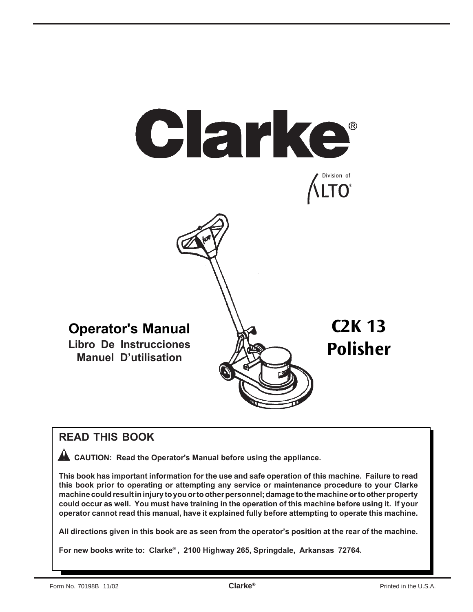

# **READ THIS BOOK**

 **CAUTION: Read the Operator's Manual before using the appliance.**

**This book has important information for the use and safe operation of this machine. Failure to read this book prior to operating or attempting any service or maintenance procedure to your Clarke machine could result in injury to you or to other personnel; damage to the machine or to other property could occur as well. You must have training in the operation of this machine before using it. If your operator cannot read this manual, have it explained fully before attempting to operate this machine.**

**All directions given in this book are as seen from the operator's position at the rear of the machine.**

**For new books write to: Clarke® , 2100 Highway 265, Springdale, Arkansas 72764.**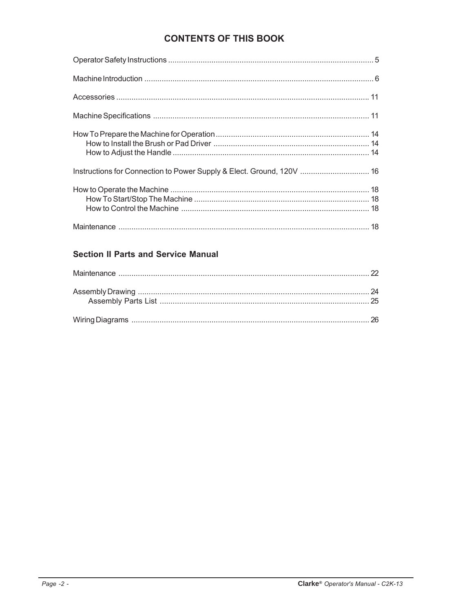# **CONTENTS OF THIS BOOK**

| Instructions for Connection to Power Supply & Elect. Ground, 120V  16 |
|-----------------------------------------------------------------------|
|                                                                       |
|                                                                       |

# **Section II Parts and Service Manual**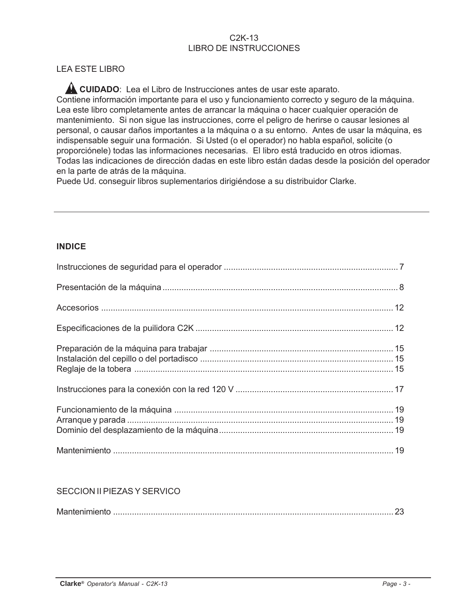#### C2K-13 LIBRO DE INSTRUCCIONES

### LEA ESTE LIBRO

**CUIDADO**: Lea el Libro de Instrucciones antes de usar este aparato.

Contiene información importante para el uso y funcionamiento correcto y seguro de la máquina. Lea este libro completamente antes de arrancar la máquina o hacer cualquier operación de mantenimiento. Si non sigue las instrucciones, corre el peligro de herirse o causar lesiones al personal, o causar daños importantes a la máquina o a su entorno. Antes de usar la máquina, es indispensable seguir una formación. Si Usted (o el operador) no habla español, solicite (o proporciónele) todas las informaciones necesarias. El libro está traducido en otros idiomas. Todas las indicaciones de dirección dadas en este libro están dadas desde la posición del operador en la parte de atrás de la máquina.

Puede Ud. conseguir libros suplementarios dirigiéndose a su distribuidor Clarke.

#### **INDICE**

#### SECCION II PIEZAS Y SERVICO

| $M = -1$ and $M = -1$ |
|-----------------------|
|-----------------------|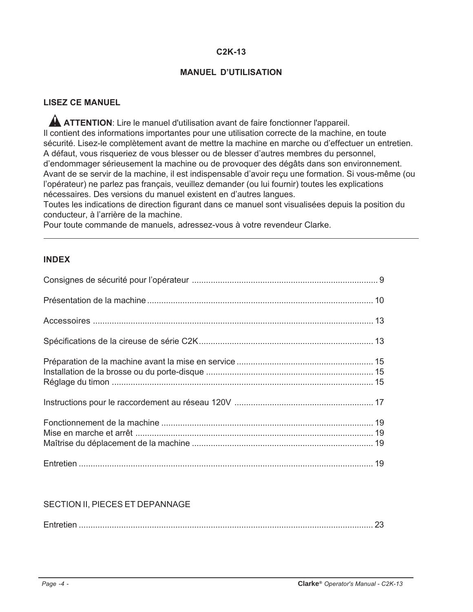### **C2K-13**

#### **MANUEL D'UTILISATION**

#### **LISEZ CE MANUEL**

A ATTENTION: Lire le manuel d'utilisation avant de faire fonctionner l'appareil. Il contient des informations importantes pour une utilisation correcte de la machine, en toute sécurité. Lisez-le complètement avant de mettre la machine en marche ou d'effectuer un entretien. A défaut, vous risqueriez de vous blesser ou de blesser d'autres membres du personnel, d'endommager sérieusement la machine ou de provoquer des dégâts dans son environnement. Avant de se servir de la machine, il est indispensable d'avoir reçu une formation. Si vous-même (ou l'opérateur) ne parlez pas français, veuillez demander (ou lui fournir) toutes les explications nécessaires. Des versions du manuel existent en d'autres langues.

Toutes les indications de direction figurant dans ce manuel sont visualisées depuis la position du conducteur, à l'arrière de la machine.

Pour toute commande de manuels, adressez-vous à votre revendeur Clarke.

#### **INDEX**

#### SECTION II, PIECES ET DEPANNAGE

| <u>La controllazione dell'arrive di controllazione dell'arrive dell'arrive dell'arrive dell'arrive dell'Indiano d</u> |
|-----------------------------------------------------------------------------------------------------------------------|
|-----------------------------------------------------------------------------------------------------------------------|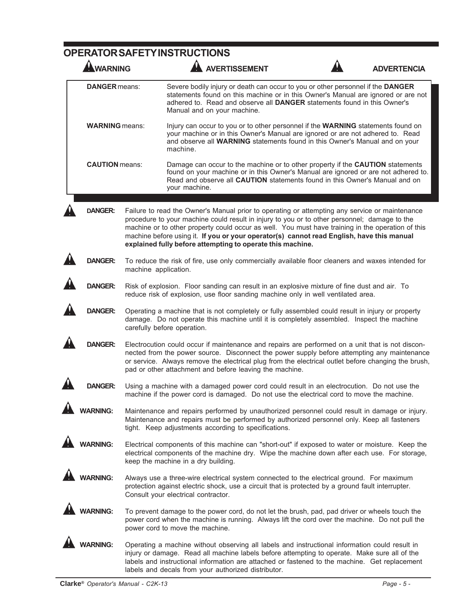# **OPERATOR SAFETY INSTRUCTIONS**

| <b>WARNING</b>        |                                                                                                                                                                                                                                                                                                                                                                   | <b>AVERTISSEMENT</b>                                                                                                                                                                                                                                                                                                                                                                                                                                           |  | <b>ADVERTENCIA</b> |  |
|-----------------------|-------------------------------------------------------------------------------------------------------------------------------------------------------------------------------------------------------------------------------------------------------------------------------------------------------------------------------------------------------------------|----------------------------------------------------------------------------------------------------------------------------------------------------------------------------------------------------------------------------------------------------------------------------------------------------------------------------------------------------------------------------------------------------------------------------------------------------------------|--|--------------------|--|
| <b>DANGER</b> means:  |                                                                                                                                                                                                                                                                                                                                                                   | Severe bodily injury or death can occur to you or other personnel if the DANGER<br>statements found on this machine or in this Owner's Manual are ignored or are not<br>adhered to. Read and observe all DANGER statements found in this Owner's<br>Manual and on your machine.                                                                                                                                                                                |  |                    |  |
| <b>WARNING</b> means: |                                                                                                                                                                                                                                                                                                                                                                   | Injury can occur to you or to other personnel if the WARNING statements found on<br>your machine or in this Owner's Manual are ignored or are not adhered to. Read<br>and observe all WARNING statements found in this Owner's Manual and on your<br>machine.                                                                                                                                                                                                  |  |                    |  |
| <b>CAUTION</b> means: |                                                                                                                                                                                                                                                                                                                                                                   | Damage can occur to the machine or to other property if the CAUTION statements<br>found on your machine or in this Owner's Manual are ignored or are not adhered to.<br>Read and observe all CAUTION statements found in this Owner's Manual and on<br>your machine.                                                                                                                                                                                           |  |                    |  |
| <b>DANGER:</b>        |                                                                                                                                                                                                                                                                                                                                                                   | Failure to read the Owner's Manual prior to operating or attempting any service or maintenance<br>procedure to your machine could result in injury to you or to other personnel; damage to the<br>machine or to other property could occur as well. You must have training in the operation of this<br>machine before using it. If you or your operator(s) cannot read English, have this manual<br>explained fully before attempting to operate this machine. |  |                    |  |
| <b>DANGER:</b>        | machine application.                                                                                                                                                                                                                                                                                                                                              | To reduce the risk of fire, use only commercially available floor cleaners and waxes intended for                                                                                                                                                                                                                                                                                                                                                              |  |                    |  |
| <b>DANGER:</b>        |                                                                                                                                                                                                                                                                                                                                                                   | Risk of explosion. Floor sanding can result in an explosive mixture of fine dust and air. To<br>reduce risk of explosion, use floor sanding machine only in well ventilated area.                                                                                                                                                                                                                                                                              |  |                    |  |
| <b>DANGER:</b>        | Operating a machine that is not completely or fully assembled could result in injury or property<br>damage. Do not operate this machine until it is completely assembled. Inspect the machine<br>carefully before operation.                                                                                                                                      |                                                                                                                                                                                                                                                                                                                                                                                                                                                                |  |                    |  |
| <b>DANGER:</b>        | Electrocution could occur if maintenance and repairs are performed on a unit that is not discon-<br>nected from the power source. Disconnect the power supply before attempting any maintenance<br>or service. Always remove the electrical plug from the electrical outlet before changing the brush,<br>pad or other attachment and before leaving the machine. |                                                                                                                                                                                                                                                                                                                                                                                                                                                                |  |                    |  |
| DANGER:               |                                                                                                                                                                                                                                                                                                                                                                   | Using a machine with a damaged power cord could result in an electrocution. Do not use the<br>machine if the power cord is damaged. Do not use the electrical cord to move the machine.                                                                                                                                                                                                                                                                        |  |                    |  |
| <b>WARNING:</b>       |                                                                                                                                                                                                                                                                                                                                                                   | Maintenance and repairs performed by unauthorized personnel could result in damage or injury.<br>Maintenance and repairs must be performed by authorized personnel only. Keep all fasteners<br>tight. Keep adjustments according to specifications.                                                                                                                                                                                                            |  |                    |  |
| <b>WARNING:</b>       |                                                                                                                                                                                                                                                                                                                                                                   | Electrical components of this machine can "short-out" if exposed to water or moisture. Keep the<br>electrical components of the machine dry. Wipe the machine down after each use. For storage,<br>keep the machine in a dry building.                                                                                                                                                                                                                         |  |                    |  |
| <b>WARNING:</b>       |                                                                                                                                                                                                                                                                                                                                                                   | Always use a three-wire electrical system connected to the electrical ground. For maximum<br>protection against electric shock, use a circuit that is protected by a ground fault interrupter.<br>Consult your electrical contractor.                                                                                                                                                                                                                          |  |                    |  |
| <b>WARNING:</b>       |                                                                                                                                                                                                                                                                                                                                                                   | To prevent damage to the power cord, do not let the brush, pad, pad driver or wheels touch the<br>power cord when the machine is running. Always lift the cord over the machine. Do not pull the<br>power cord to move the machine.                                                                                                                                                                                                                            |  |                    |  |
| <b>WARNING:</b>       |                                                                                                                                                                                                                                                                                                                                                                   | Operating a machine without observing all labels and instructional information could result in<br>injury or damage. Read all machine labels before attempting to operate. Make sure all of the<br>labels and instructional information are attached or fastened to the machine. Get replacement<br>labels and decals from your authorized distributor.                                                                                                         |  |                    |  |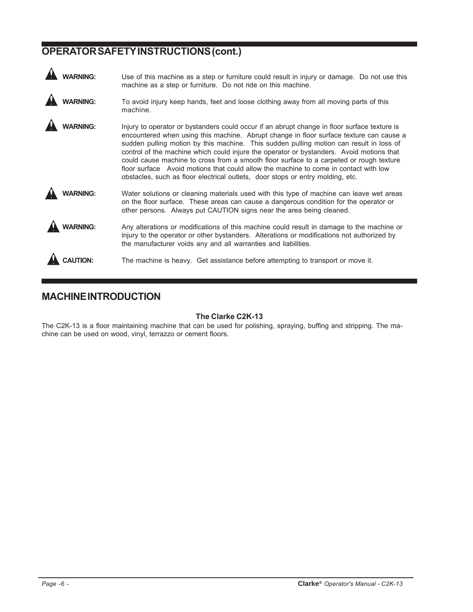# **OPERATOR SAFETY INSTRUCTIONS (cont.)**

| <b>NARNING:</b> | Use of this machine as a step or furniture could result in injury or damage. Do not use this<br>machine as a step or furniture. Do not ride on this machine.                                                                                                                                                                                                                                                                                                                                                                                                                                                                                        |
|-----------------|-----------------------------------------------------------------------------------------------------------------------------------------------------------------------------------------------------------------------------------------------------------------------------------------------------------------------------------------------------------------------------------------------------------------------------------------------------------------------------------------------------------------------------------------------------------------------------------------------------------------------------------------------------|
| <b>VARNING:</b> | To avoid injury keep hands, feet and loose clothing away from all moving parts of this<br>machine.                                                                                                                                                                                                                                                                                                                                                                                                                                                                                                                                                  |
| <b>ARNING:</b>  | Injury to operator or bystanders could occur if an abrupt change in floor surface texture is<br>encountered when using this machine. Abrupt change in floor surface texture can cause a<br>sudden pulling motion by this machine. This sudden pulling motion can result in loss of<br>control of the machine which could injure the operator or bystanders. Avoid motions that<br>could cause machine to cross from a smooth floor surface to a carpeted or rough texture<br>floor surface Avoid motions that could allow the machine to come in contact with low<br>obstacles, such as floor electrical outlets, door stops or entry molding, etc. |
| <b>/ARNING:</b> | Water solutions or cleaning materials used with this type of machine can leave wet areas<br>on the floor surface. These areas can cause a dangerous condition for the operator or<br>other persons. Always put CAUTION signs near the area being cleaned.                                                                                                                                                                                                                                                                                                                                                                                           |
| <b>ARNING:</b>  | Any alterations or modifications of this machine could result in damage to the machine or<br>injury to the operator or other bystanders. Alterations or modifications not authorized by<br>the manufacturer voids any and all warranties and liabilities.                                                                                                                                                                                                                                                                                                                                                                                           |
|                 | The machine is heavy. Get assistance before attempting to transport or move it.                                                                                                                                                                                                                                                                                                                                                                                                                                                                                                                                                                     |

# **MACHINE INTRODUCTION**

#### **The Clarke C2K-13**

The C2K-13 is a floor maintaining machine that can be used for polishing, spraying, buffing and stripping. The machine can be used on wood, vinyl, terrazzo or cement floors.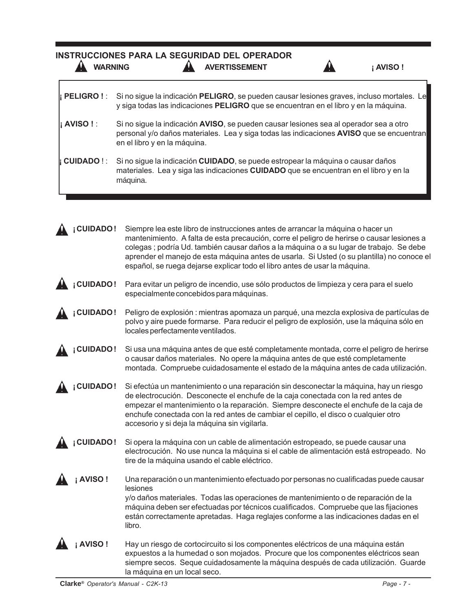| <b>WARNING</b>                                                                                                                                                                                                                      | <b>INSTRUCCIONES PARA LA SEGURIDAD DEL OPERADOR</b><br><b>AVERTISSEMENT</b>                                                                                                                                                                                                                                                                                                                                                                          | <b>AVISO!</b> |
|-------------------------------------------------------------------------------------------------------------------------------------------------------------------------------------------------------------------------------------|------------------------------------------------------------------------------------------------------------------------------------------------------------------------------------------------------------------------------------------------------------------------------------------------------------------------------------------------------------------------------------------------------------------------------------------------------|---------------|
| <b>I</b> PELIGRO ! :                                                                                                                                                                                                                | Si no sigue la indicación PELIGRO, se pueden causar lesiones graves, incluso mortales. Le<br>y siga todas las indicaciones PELIGRO que se encuentran en el libro y en la máquina.                                                                                                                                                                                                                                                                    |               |
| <b>AVISO!:</b><br>Si no sigue la indicación AVISO, se pueden causar lesiones sea al operador sea a otro<br>personal y/o daños materiales. Lea y siga todas las indicaciones AVISO que se encuentran<br>en el libro y en la máquina. |                                                                                                                                                                                                                                                                                                                                                                                                                                                      |               |
| <b>CUIDADO!:</b>                                                                                                                                                                                                                    | Si no sigue la indicación CUIDADO, se puede estropear la máquina o causar daños<br>materiales. Lea y siga las indicaciones CUIDADO que se encuentran en el libro y en la<br>máquina.                                                                                                                                                                                                                                                                 |               |
| <b>CUIDADO!</b>                                                                                                                                                                                                                     | Siempre lea este libro de instrucciones antes de arrancar la máquina o hacer un<br>mantenimiento. A falta de esta precaución, corre el peligro de herirse o causar lesiones a<br>colegas ; podría Ud. también causar daños a la máquina o a su lugar de trabajo. Se debe<br>aprender el manejo de esta máquina antes de usarla. Si Usted (o su plantilla) no conoce el<br>español, se ruega dejarse explicar todo el libro antes de usar la máquina. |               |
| <b>CUIDADO!</b>                                                                                                                                                                                                                     | Para evitar un peligro de incendio, use sólo productos de limpieza y cera para el suelo<br>especialmente concebidos para máquinas.                                                                                                                                                                                                                                                                                                                   |               |
| <b>CUIDADO!</b>                                                                                                                                                                                                                     | Peligro de explosión : mientras apomaza un parqué, una mezcla explosiva de partículas de<br>polvo y aire puede formarse. Para reducir el peligro de explosión, use la máquina sólo en<br>locales perfectamente ventilados.                                                                                                                                                                                                                           |               |
| <b>CUIDADO!</b>                                                                                                                                                                                                                     | Si usa una máquina antes de que esté completamente montada, corre el peligro de herirse<br>o causar daños materiales. No opere la máquina antes de que esté completamente<br>montada. Compruebe cuidadosamente el estado de la máquina antes de cada utilización.                                                                                                                                                                                    |               |
| <b>CUIDADO!</b>                                                                                                                                                                                                                     | Si efectúa un mantenimiento o una reparación sin desconectar la máquina, hay un riesgo<br>de electrocución. Desconecte el enchufe de la caja conectada con la red antes de<br>empezar el mantenimiento o la reparación. Siempre desconecte el enchufe de la caja de<br>enchufe conectada con la red antes de cambiar el cepillo, el disco o cualquier otro<br>accesorio y si deja la máquina sin vigilarla.                                          |               |
| <b>CUIDADO!</b>                                                                                                                                                                                                                     | Si opera la máquina con un cable de alimentación estropeado, se puede causar una<br>electrocución. No use nunca la máquina si el cable de alimentación está estropeado. No<br>tire de la máquina usando el cable eléctrico.                                                                                                                                                                                                                          |               |
| <b>AVISO!</b>                                                                                                                                                                                                                       | Una reparación o un mantenimiento efectuado por personas no cualificadas puede causar<br>lesiones<br>y/o daños materiales. Todas las operaciones de mantenimiento o de reparación de la<br>máquina deben ser efectuadas por técnicos cualificados. Compruebe que las fijaciones<br>están correctamente apretadas. Haga reglajes conforme a las indicaciones dadas en el<br>libro.                                                                    |               |
| <b>AVISO!</b>                                                                                                                                                                                                                       | Hay un riesgo de cortocircuito si los componentes eléctricos de una máquina están<br>expuestos a la humedad o son mojados. Procure que los componentes eléctricos sean<br>siempre secos. Seque cuidadosamente la máquina después de cada utilización. Guarde<br>la máquina en un local seco.                                                                                                                                                         |               |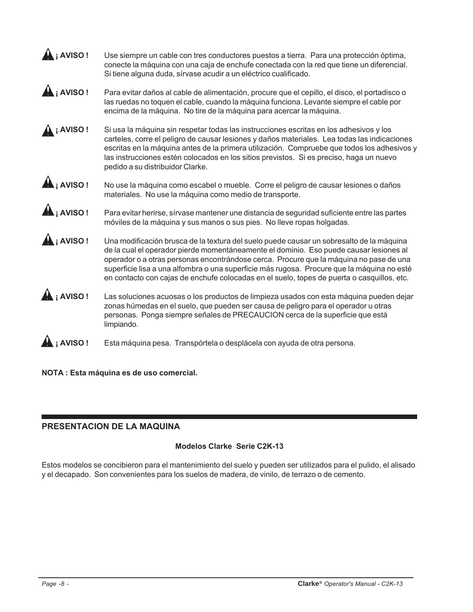| i AVISO!                     | Use siempre un cable con tres conductores puestos a tierra. Para una protección óptima,<br>conecte la máquina con una caja de enchufe conectada con la red que tiene un diferencial.<br>Si tiene alguna duda, sírvase acudir a un eléctrico cualificado.                                                                                                                                                                                                                 |
|------------------------------|--------------------------------------------------------------------------------------------------------------------------------------------------------------------------------------------------------------------------------------------------------------------------------------------------------------------------------------------------------------------------------------------------------------------------------------------------------------------------|
| $\mathbf{A}_i$ AVISO !       | Para evitar daños al cable de alimentación, procure que el cepillo, el disco, el portadisco o<br>las ruedas no toquen el cable, cuando la máquina funciona. Levante siempre el cable por<br>encima de la máquina. No tire de la máquina para acercar la máquina.                                                                                                                                                                                                         |
| <b>AVISO!</b>                | Si usa la máquina sin respetar todas las instrucciones escritas en los adhesivos y los<br>carteles, corre el peligro de causar lesiones y daños materiales. Lea todas las indicaciones<br>escritas en la máquina antes de la primera utilización. Compruebe que todos los adhesivos y<br>las instrucciones estén colocados en los sitios previstos. Si es preciso, haga un nuevo<br>pedido a su distribuidor Clarke.                                                     |
| $\mathbf{A}_1$ AVISO !       | No use la máquina como escabel o mueble. Corre el peligro de causar lesiones o daños<br>materiales. No use la máquina como medio de transporte.                                                                                                                                                                                                                                                                                                                          |
| $\hat{\mathbf{A}}_i$ AVISO ! | Para evitar herirse, sírvase mantener une distancia de seguridad suficiente entre las partes<br>móviles de la máquina y sus manos o sus pies. No lleve ropas holgadas.                                                                                                                                                                                                                                                                                                   |
| i AVISO!                     | Una modificación brusca de la textura del suelo puede causar un sobresalto de la máquina<br>de la cual el operador pierde momentáneamente el dominio. Eso puede causar lesiones al<br>operador o a otras personas encontrándose cerca. Procure que la máquina no pase de una<br>superficie lisa a una alfombra o una superficie más rugosa. Procure que la máquina no esté<br>en contacto con cajas de enchufe colocadas en el suelo, topes de puerta o casquillos, etc. |
| <b>AVISO!</b>                | Las soluciones acuosas o los productos de limpieza usados con esta máquina pueden dejar<br>zonas húmedas en el suelo, que pueden ser causa de peligro para el operador u otras<br>personas. Ponga siempre señales de PRECAUCION cerca de la superficie que está<br>limpiando.                                                                                                                                                                                            |
| <b>AVISO!</b>                | Esta máquina pesa. Transpórtela o desplácela con ayuda de otra persona.                                                                                                                                                                                                                                                                                                                                                                                                  |

**NOTA : Esta máquina es de uso comercial.**

### **PRESENTACION DE LA MAQUINA**

#### **Modelos Clarke Serie C2K-13**

Estos modelos se concibieron para el mantenimiento del suelo y pueden ser utilizados para el pulido, el alisado y el decapado. Son convenientes para los suelos de madera, de vinilo, de terrazo o de cemento.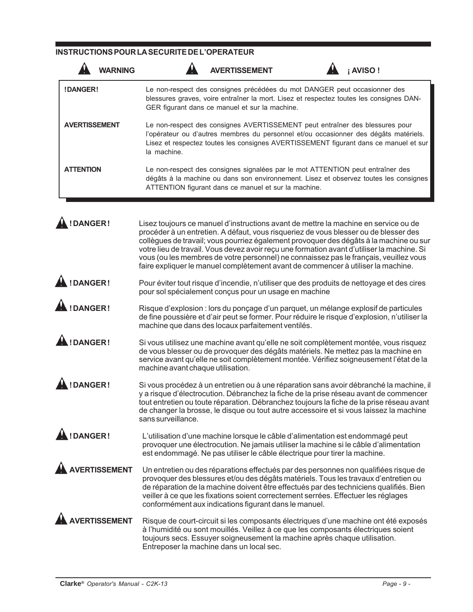#### **INSTRUCTIONS POUR LA SECURITE DE L'OPERATEUR**

| <b>WARNING</b>       |                                   | <b>AVERTISSEMENT</b>                                                                                                                                                                                                                                                                                                                                                                                                                                                                                                                             | <b>AVISO!</b> |
|----------------------|-----------------------------------|--------------------------------------------------------------------------------------------------------------------------------------------------------------------------------------------------------------------------------------------------------------------------------------------------------------------------------------------------------------------------------------------------------------------------------------------------------------------------------------------------------------------------------------------------|---------------|
| !DANGER!             |                                   | Le non-respect des consignes précédées du mot DANGER peut occasionner des<br>blessures graves, voire entraîner la mort. Lisez et respectez toutes les consignes DAN-<br>GER figurant dans ce manuel et sur la machine.                                                                                                                                                                                                                                                                                                                           |               |
| <b>AVERTISSEMENT</b> | la machine.                       | Le non-respect des consignes AVERTISSEMENT peut entraîner des blessures pour<br>l'opérateur ou d'autres membres du personnel et/ou occasionner des dégâts matériels.<br>Lisez et respectez toutes les consignes AVERTISSEMENT figurant dans ce manuel et sur                                                                                                                                                                                                                                                                                     |               |
| <b>ATTENTION</b>     |                                   | Le non-respect des consignes signalées par le mot ATTENTION peut entraîner des<br>dégâts à la machine ou dans son environnement. Lisez et observez toutes les consignes<br>ATTENTION figurant dans ce manuel et sur la machine.                                                                                                                                                                                                                                                                                                                  |               |
| !DANGER!             |                                   | Lisez toujours ce manuel d'instructions avant de mettre la machine en service ou de<br>procéder à un entretien. A défaut, vous risqueriez de vous blesser ou de blesser des<br>collègues de travail; vous pourriez également provoquer des dégâts à la machine ou sur<br>votre lieu de travail. Vous devez avoir reçu une formation avant d'utiliser la machine. Si<br>vous (ou les membres de votre personnel) ne connaissez pas le français, veuillez vous<br>faire expliquer le manuel complètement avant de commencer à utiliser la machine. |               |
| !DANGER!             |                                   | Pour éviter tout risque d'incendie, n'utiliser que des produits de nettoyage et des cires<br>pour sol spécialement conçus pour un usage en machine                                                                                                                                                                                                                                                                                                                                                                                               |               |
| <b>IDANGER!</b>      |                                   | Risque d'explosion : lors du ponçage d'un parquet, un mélange explosif de particules<br>de fine poussière et d'air peut se former. Pour réduire le risque d'explosion, n'utiliser la<br>machine que dans des locaux parfaitement ventilés.                                                                                                                                                                                                                                                                                                       |               |
| !DANGER!             | machine avant chaque utilisation. | Si vous utilisez une machine avant qu'elle ne soit complètement montée, vous risquez<br>de vous blesser ou de provoquer des dégâts matériels. Ne mettez pas la machine en<br>service avant qu'elle ne soit complètement montée. Vérifiez soigneusement l'état de la                                                                                                                                                                                                                                                                              |               |
| !DANGER!             | sans surveillance.                | Si vous procédez à un entretien ou à une réparation sans avoir débranché la machine, il<br>y a risque d'électrocution. Débranchez la fiche de la prise réseau avant de commencer<br>tout entretien ou toute réparation. Débranchez toujours la fiche de la prise réseau avant<br>de changer la brosse, le disque ou tout autre accessoire et si vous laissez la machine                                                                                                                                                                          |               |
| !DANGER!             |                                   | L'utilisation d'une machine lorsque le câble d'alimentation est endommagé peut<br>provoquer une électrocution. Ne jamais utiliser la machine si le câble d'alimentation<br>est endommagé. Ne pas utiliser le câble électrique pour tirer la machine.                                                                                                                                                                                                                                                                                             |               |
| <b>ERTISSEMENT</b>   |                                   | Un entretien ou des réparations effectués par des personnes non qualifiées risque de<br>provoquer des blessures et/ou des dégâts matériels. Tous les travaux d'entretien ou<br>de réparation de la machine doivent être effectués par des techniciens qualifiés. Bien<br>veiller à ce que les fixations soient correctement serrées. Effectuer les réglages<br>conformément aux indications figurant dans le manuel.                                                                                                                             |               |
| <b>RTISSEMENT</b>    |                                   | Risque de court-circuit si les composants électriques d'une machine ont été exposés<br>à l'humidité ou sont mouillés. Veillez à ce que les composants électriques soient<br>toujours secs. Essuyer soigneusement la machine après chaque utilisation.<br>Entreposer la machine dans un local sec.                                                                                                                                                                                                                                                |               |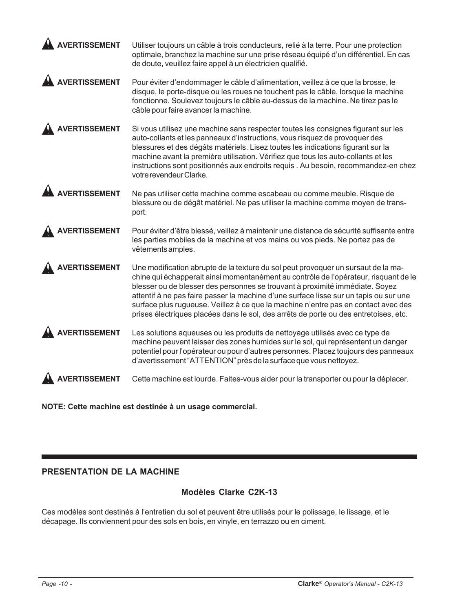| <b>AVERTISSEMENT</b> | Utiliser toujours un câble à trois conducteurs, relié à la terre. Pour une protection<br>optimale, branchez la machine sur une prise réseau équipé d'un différentiel. En cas<br>de doute, veuillez faire appel à un électricien qualifié.                                                                                                                                                                                                                                                                                        |
|----------------------|----------------------------------------------------------------------------------------------------------------------------------------------------------------------------------------------------------------------------------------------------------------------------------------------------------------------------------------------------------------------------------------------------------------------------------------------------------------------------------------------------------------------------------|
| <b>VERTISSEMENT</b>  | Pour éviter d'endommager le câble d'alimentation, veillez à ce que la brosse, le<br>disque, le porte-disque ou les roues ne touchent pas le câble, lorsque la machine<br>fonctionne. Soulevez toujours le câble au-dessus de la machine. Ne tirez pas le<br>câble pour faire avancer la machine.                                                                                                                                                                                                                                 |
| <b>ERTISSEMENT</b>   | Si vous utilisez une machine sans respecter toutes les consignes figurant sur les<br>auto-collants et les panneaux d'instructions, vous risquez de provoquer des<br>blessures et des dégâts matériels. Lisez toutes les indications figurant sur la<br>machine avant la première utilisation. Vérifiez que tous les auto-collants et les<br>instructions sont positionnés aux endroits requis . Au besoin, recommandez-en chez<br>votre revendeur Clarke.                                                                        |
| <b>VERTISSEMENT</b>  | Ne pas utiliser cette machine comme escabeau ou comme meuble. Risque de<br>blessure ou de dégât matériel. Ne pas utiliser la machine comme moyen de trans-<br>port.                                                                                                                                                                                                                                                                                                                                                              |
| <b>'ERTISSEMENT</b>  | Pour éviter d'être blessé, veillez à maintenir une distance de sécurité suffisante entre<br>les parties mobiles de la machine et vos mains ou vos pieds. Ne portez pas de<br>vêtements amples.                                                                                                                                                                                                                                                                                                                                   |
| <b>ERTISSEMENT</b>   | Une modification abrupte de la texture du sol peut provoquer un sursaut de la ma-<br>chine qui échapperait ainsi momentanément au contrôle de l'opérateur, risquant de le<br>blesser ou de blesser des personnes se trouvant à proximité immédiate. Soyez<br>attentif à ne pas faire passer la machine d'une surface lisse sur un tapis ou sur une<br>surface plus rugueuse. Veillez à ce que la machine n'entre pas en contact avec des<br>prises électriques placées dans le sol, des arrêts de porte ou des entretoises, etc. |
| ERTISSEMENT          | Les solutions aqueuses ou les produits de nettoyage utilisés avec ce type de<br>machine peuvent laisser des zones humides sur le sol, qui représentent un danger<br>potentiel pour l'opérateur ou pour d'autres personnes. Placez toujours des panneaux<br>d'avertissement "ATTENTION" près de la surface que vous nettoyez.                                                                                                                                                                                                     |
|                      | Cette machine est lourde. Faites-vous aider pour la transporter ou pour la déplacer.                                                                                                                                                                                                                                                                                                                                                                                                                                             |

**NOTE: Cette machine est destinée à un usage commercial.**

# **PRESENTATION DE LA MACHINE**

#### **Modèles Clarke C2K-13**

Ces modèles sont destinés à l'entretien du sol et peuvent être utilisés pour le polissage, le lissage, et le décapage. Ils conviennent pour des sols en bois, en vinyle, en terrazzo ou en ciment.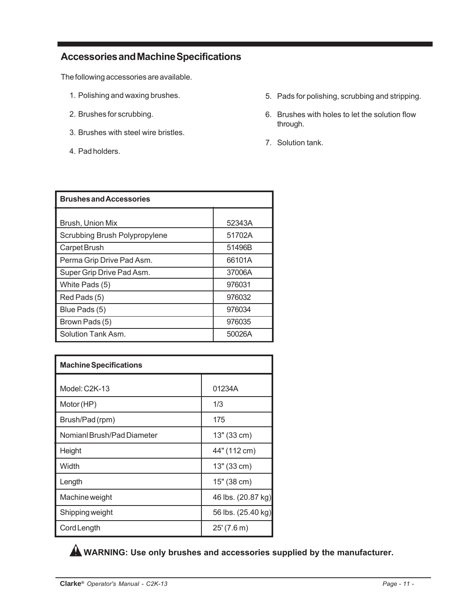# **Accessories and Machine Specifications**

The following accessories are available.

- 1. Polishing and waxing brushes.
- 2. Brushes for scrubbing.
- 3. Brushes with steel wire bristles.
- 4. Pad holders.
- 5. Pads for polishing, scrubbing and stripping.
- 6. Brushes with holes to let the solution flow through.
- 7. Solution tank.

| <b>Brushes and Accessories</b> |        |  |
|--------------------------------|--------|--|
|                                |        |  |
| Brush, Union Mix               | 52343A |  |
| Scrubbing Brush Polypropylene  | 51702A |  |
| Carpet Brush                   | 51496B |  |
| Perma Grip Drive Pad Asm.      | 66101A |  |
| Super Grip Drive Pad Asm.      | 37006A |  |
| White Pads (5)                 | 976031 |  |
| Red Pads (5)                   | 976032 |  |
| Blue Pads (5)                  | 976034 |  |
| Brown Pads (5)                 | 976035 |  |
| Solution Tank Asm.             | 50026A |  |

| <b>Machine Specifications</b> |                    |  |
|-------------------------------|--------------------|--|
|                               |                    |  |
| Model: C2K-13                 | 01234A             |  |
| Motor (HP)                    | 1/3                |  |
| Brush/Pad(rpm)                | 175                |  |
| Nomianl Brush/Pad Diameter    | 13" (33 cm)        |  |
| Height                        | 44" (112 cm)       |  |
| Width                         | 13" (33 cm)        |  |
| Length                        | 15" (38 cm)        |  |
| Machine weight                | 46 lbs. (20.87 kg) |  |
| Shipping weight               | 56 lbs. (25.40 kg) |  |
| Cord Length                   | 25'(7.6 m)         |  |

**WARNING: Use only brushes and accessories supplied by the manufacturer.**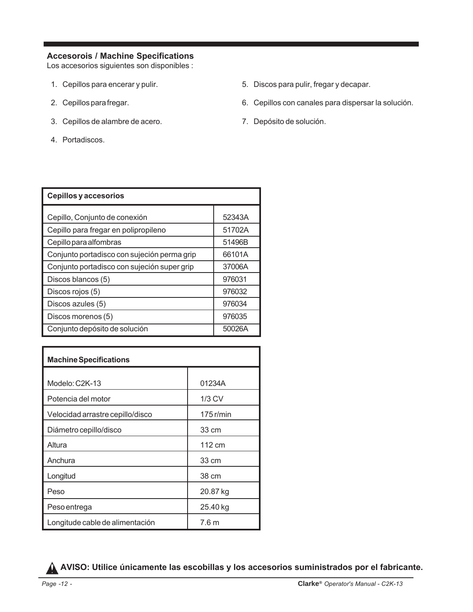#### **Accesorois / Machine Specifications**

Los accesorios siguientes son disponibles :

- 1. Cepillos para encerar y pulir.
- 2. Cepillos para fregar.
- 3. Cepillos de alambre de acero.
- 4. Portadiscos.
- 5. Discos para pulir, fregar y decapar.
- 6. Cepillos con canales para dispersar la solución.
- 7. Depósito de solución.

| <b>Cepillos y accesorios</b>                |        |  |  |
|---------------------------------------------|--------|--|--|
| Cepillo, Conjunto de conexión               | 52343A |  |  |
| Cepillo para fregar en polipropileno        | 51702A |  |  |
| Cepillo para alfombras                      | 51496B |  |  |
| Conjunto portadisco con sujeción perma grip | 66101A |  |  |
| Conjunto portadisco con sujeción super grip | 37006A |  |  |
| Discos blancos (5)                          | 976031 |  |  |
| Discos rojos (5)                            | 976032 |  |  |
| Discos azules (5)                           | 976034 |  |  |
| Discos morenos (5)                          | 976035 |  |  |
| Conjunto depósito de solución               | 50026A |  |  |

| <b>Machine Specifications</b>    |             |  |  |
|----------------------------------|-------------|--|--|
|                                  |             |  |  |
| Modelo: C2K-13                   | 01234A      |  |  |
| Potencia del motor               | $1/3$ CV    |  |  |
| Velocidad arrastre cepillo/disco | $175$ r/min |  |  |
| Diámetro cepillo/disco           | 33 cm       |  |  |
| Altura                           | 112 cm      |  |  |
| Anchura                          | 33 cm       |  |  |
| Longitud                         | 38 cm       |  |  |
| Peso                             | 20.87 kg    |  |  |
| Peso entrega                     | 25.40 kg    |  |  |
| Longitude cable de alimentación  | 7.6 m       |  |  |

**AVISO: Utilice únicamente las escobillas y los accesorios suministrados por el fabricante.**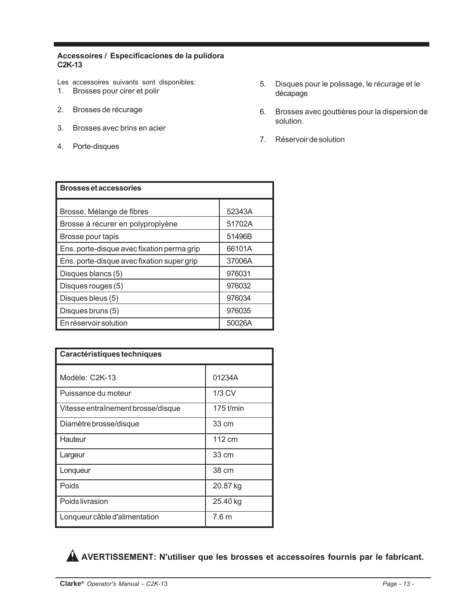#### **Accessoires / Especificaciones de la pulidora C2K-13**

Les accessoires suivants sont disponibles:

- 1. Brosses pour cirer et polir
- 2. Brosses de récurage
- 3. Brosses avec brins en acier
- 4. Porte-disques
- 5. Disques pour le polissage, le récurage et le décapage
- 6. Brosses avec gouttières pour la dispersion de solution.
- 7. Réservoir de solution

| <b>Brosses et accessories</b>              |        |  |  |
|--------------------------------------------|--------|--|--|
| Brosse, Mélange de fibres                  | 52343A |  |  |
| Brosse á récurer en polyproplyène          | 51702A |  |  |
| Brosse pour tapis                          | 51496B |  |  |
| Ens. porte-disque avec fixation perma grip | 66101A |  |  |
| Ens. porte-disque avec fixation super grip | 37006A |  |  |
| Disques blancs (5)                         | 976031 |  |  |
| Disques rouges (5)                         | 976032 |  |  |
| Disques bleus (5)                          | 976034 |  |  |
| Disques bruns (5)                          | 976035 |  |  |
| En réservoir solution                      | 50026A |  |  |

| Caractéristiques techniques        |                  |  |
|------------------------------------|------------------|--|
| Modèle: C2K-13                     | 01234A           |  |
| Puissance du moteur                | $1/3$ CV         |  |
| Vitesse entraînement brosse/disque | 175 t/min        |  |
| Diamètre brosse/disque             | 33 cm            |  |
| Hauteur                            | 112 cm           |  |
| Largeur                            | 33 cm            |  |
| Lonqueur                           | 38 cm            |  |
| Poids                              | 20.87 kg         |  |
| Poids livrasion                    | 25.40 kg         |  |
| Lonqueur câble d'alimentation      | 7.6 <sub>m</sub> |  |

**AVERTISSEMENT: N'utiliser que les brosses et accessoires fournis par le fabricant.**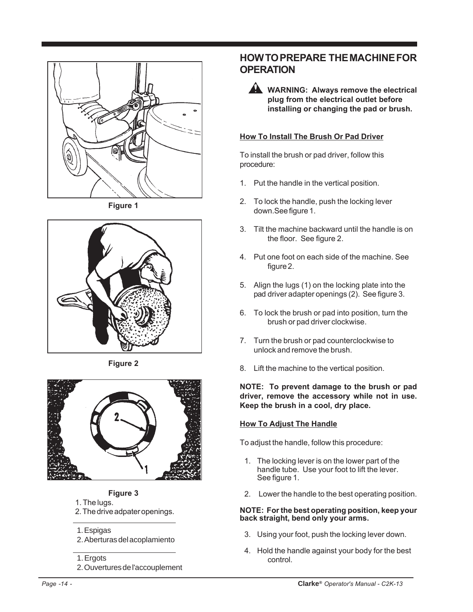

**Figure 1**



**Figure 2**



#### **Figure 3**

- 1. The lugs.
- 2. The drive adpater openings.

#### 1. Espigas

2. Aberturas del acoplamiento

#### 1. Ergots

2. Ouvertures de l'accouplement

# **HOW TO PREPARE THE MACHINE FOR OPERATION**

**WARNING: Always remove the electrical plug from the electrical outlet before installing or changing the pad or brush.**

#### **How To Install The Brush Or Pad Driver**

To install the brush or pad driver, follow this procedure:

- 1. Put the handle in the vertical position.
- 2. To lock the handle, push the locking lever down.See figure 1.
- 3. Tilt the machine backward until the handle is on the floor. See figure 2.
- 4. Put one foot on each side of the machine. See figure 2.
- 5. Align the lugs (1) on the locking plate into the pad driver adapter openings (2). See figure 3.
- 6. To lock the brush or pad into position, turn the brush or pad driver clockwise.
- 7. Turn the brush or pad counterclockwise to unlock and remove the brush.
- 8. Lift the machine to the vertical position.

**NOTE: To prevent damage to the brush or pad driver, remove the accessory while not in use. Keep the brush in a cool, dry place.**

#### **How To Adjust The Handle**

To adjust the handle, follow this procedure:

- 1. The locking lever is on the lower part of the handle tube. Use your foot to lift the lever. See figure 1.
- 2. Lower the handle to the best operating position.

#### **NOTE: For the best operating position, keep your back straight, bend only your arms.**

- 3. Using your foot, push the locking lever down.
- 4. Hold the handle against your body for the best control.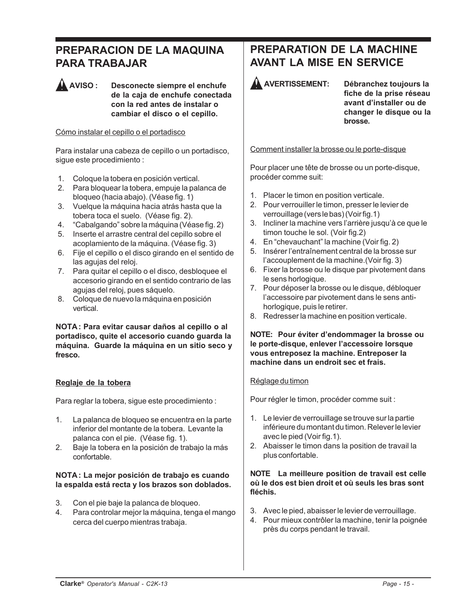# **PREPARACION DE LA MAQUINA PARA TRABAJAR**

**AVISO : Desconecte siempre el enchufe de la caja de enchufe conectada con la red antes de instalar o cambiar el disco o el cepillo.**

#### Cómo instalar el cepillo o el portadisco

Para instalar una cabeza de cepillo o un portadisco, sigue este procedimiento :

- 1. Coloque la tobera en posición vertical.
- 2. Para bloquear la tobera, empuje la palanca de bloqueo (hacia abajo). (Véase fig. 1)
- 3. Vuelque la máquina hacia atrás hasta que la tobera toca el suelo. (Véase fig. 2).
- 4. "Cabalgando" sobre la máquina (Véase fig. 2)
- 5. Inserte el arrastre central del cepillo sobre el acoplamiento de la máquina. (Véase fig. 3)
- 6. Fije el cepillo o el disco girando en el sentido de las agujas del reloj.
- 7. Para quitar el cepillo o el disco, desbloquee el accesorio girando en el sentido contrario de las agujas del reloj, pues sáquelo.
- 8. Coloque de nuevo la máquina en posición vertical.

#### **NOTA : Para evitar causar daños al cepillo o al portadisco, quite el accesorio cuando guarda la máquina. Guarde la máquina en un sitio seco y fresco.**

#### **Reglaje de la tobera**

Para reglar la tobera, sigue este procedimiento :

- 1. La palanca de bloqueo se encuentra en la parte inferior del montante de la tobera. Levante la palanca con el pie. (Véase fig. 1).
- 2. Baje la tobera en la posición de trabajo la más confortable.

#### **NOTA : La mejor posición de trabajo es cuando la espalda está recta y los brazos son doblados.**

- 3. Con el pie baje la palanca de bloqueo.
- 4. Para controlar mejor la máquina, tenga el mango cerca del cuerpo mientras trabaja.

# **PREPARATION DE LA MACHINE AVANT LA MISE EN SERVICE**



**AVERTISSEMENT: Débranchez toujours la fiche de la prise réseau avant d'installer ou de changer le disque ou la brosse.**

Comment installer la brosse ou le porte-disque

Pour placer une tête de brosse ou un porte-disque, procéder comme suit:

- 1. Placer le timon en position verticale.
- 2. Pour verrouiller le timon, presser le levier de verrouillage (vers le bas) (Voir fig.1)
- 3. Incliner la machine vers l'arrière jusqu'à ce que le timon touche le sol. (Voir fig.2)
- 4. En "chevauchant" la machine (Voir fig. 2)
- 5. Insérer l'entraînement central de la brosse sur l'accouplement de la machine.(Voir fig. 3)
- 6. Fixer la brosse ou le disque par pivotement dans le sens horlogique.
- 7. Pour déposer la brosse ou le disque, débloquer l'accessoire par pivotement dans le sens antihorlogique, puis le retirer.
- 8. Redresser la machine en position verticale.

#### **NOTE: Pour éviter d'endommager la brosse ou le porte-disque, enlever l'accessoire lorsque vous entreposez la machine. Entreposer la machine dans un endroit sec et frais.**

#### Réglage du timon

Pour régler le timon, procéder comme suit :

- 1. Le levier de verrouillage se trouve sur la partie inférieure du montant du timon. Relever le levier avec le pied (Voir fig.1).
- 2. Abaisser le timon dans la position de travail la plus confortable.

#### **NOTE La meilleure position de travail est celle où le dos est bien droit et où seuls les bras sont fléchis.**

- 3. Avec le pied, abaisser le levier de verrouillage.
- 4. Pour mieux contrôler la machine, tenir la poignée près du corps pendant le travail.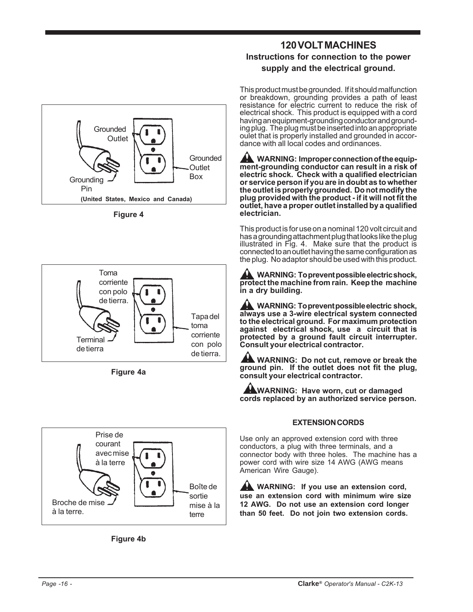

**Figure 4**



**Figure 4a**





## **120 VOLT MACHINES Instructions for connection to the power supply and the electrical ground.**

This product must be grounded. If it should malfunction or breakdown, grounding provides a path of least resistance for electric current to reduce the risk of electrical shock. This product is equipped with a cord having an equipment-grounding conductor and grounding plug. The plug must be inserted into an appropriate oulet that is properly installed and grounded in accordance with all local codes and ordinances.

**WARNING: Improper connection of the equipment-grounding conductor can result in a risk of electric shock. Check with a qualified electrician or service person if you are in doubt as to whether the outlet is properly grounded. Do not modify the plug provided with the product - if it will not fit the outlet, have a proper outlet installed by a qualified electrician.**

This product is for use on a nominal 120 volt circuit and has a grounding attachment plug that looks like the plug illustrated in Fig. 4. Make sure that the product is connected to an outlet having the same configuration as the plug. No adaptor should be used with this product.

**WARNING: To prevent possible electric shock, protect the machine from rain. Keep the machine in a dry building.**

**WARNING: To prevent possible electric shock, always use a 3-wire electrical system connected to the electrical ground. For maximum protection against electrical shock, use a circuit that is protected by a ground fault circuit interrupter. Consult your electrical contractor.**

**WARNING: Do not cut, remove or break the ground pin. If the outlet does not fit the plug, consult your electrical contractor.**

**WARNING: Have worn, cut or damaged cords replaced by an authorized service person.**

#### **EXTENSION CORDS**

Use only an approved extension cord with three conductors, a plug with three terminals, and a connector body with three holes. The machine has a power cord with wire size 14 AWG (AWG means American Wire Gauge).

**WARNING:** If you use an extension cord, **use an extension cord with minimum wire size 12 AWG. Do not use an extension cord longer than 50 feet. Do not join two extension cords.**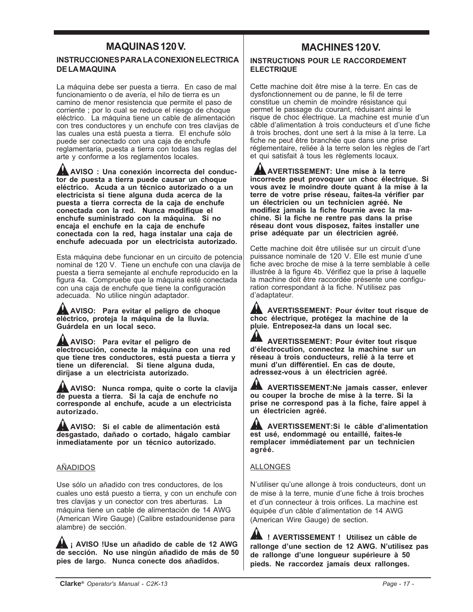## **MAQUINAS 120 V. MACHINES 120 V.**

#### **INSTRUCCIONES PARA LA CONEXION ELECTRICA DE LA MAQUINA**

La máquina debe ser puesta a tierra. En caso de mal funcionamiento o de avería, el hilo de tierra es un camino de menor resistencia que permite el paso de corriente ; por lo cual se reduce el riesgo de choque eléctrico. La máquina tiene un cable de alimentación con tres conductores y un enchufe con tres clavijas de las cuales una está puesta a tierra. El enchufe sólo puede ser conectado con una caja de enchufe reglamentaria, puesta a tierra con todas las reglas del arte y conforme a los reglamentos locales.

**AVISO : Una conexión incorrecta del conductor de puesta a tierra puede causar un choque eléctrico. Acuda a un técnico autorizado o a un electricista si tiene alguna duda acerca de la puesta a tierra correcta de la caja de enchufe conectada con la red. Nunca modifique el enchufe suministrado con la máquina. Si no encaja el enchufe en la caja de enchufe conectada con la red, haga instalar una caja de enchufe adecuada por un electricista autorizado.**

Esta máquina debe funcionar en un circuito de potencia nominal de 120 V. Tiene un enchufe con una clavija de puesta a tierra semejante al enchufe reproducido en la figura 4a. Compruebe que la máquina esté conectada con una caja de enchufe que tiene la configuración adecuada. No utilice ningún adaptador.

**AVISO: Para evitar el peligro de choque eléctrico, proteja la máquina de la lluvia. Guárdela en un local seco.**

**AVISO: Para evitar el peligro de electrocución, conecte la máquina con una red que tiene tres conductores, está puesta a tierra y tiene un diferencial. Si tiene alguna duda, diríjase a un electricista autorizado.**

**AVISO: Nunca rompa, quite o corte la clavija de puesta a tierra. Si la caja de enchufe no corresponde al enchufe, acude a un electricista autorizado.**

**AVISO: Si el cable de alimentación está desgastado, dañado o cortado, hágalo cambiar inmediatamente por un técnico autorizado.**

#### AÑADIDOS

Use sólo un añadido con tres conductores, de los cuales uno está puesto a tierra, y con un enchufe con tres clavijas y un conector con tres aberturas. La máquina tiene un cable de alimentación de 14 AWG (American Wire Gauge) (Calibre estadounidense para alambre) de sección.

**A i AVISO !Use un añadido de cable de 12 AWG de sección. No use ningún añadido de más de 50 pies de largo. Nunca conecte dos añadidos.**

#### **INSTRUCTIONS POUR LE RACCORDEMENT ELECTRIQUE**

Cette machine doit être mise à la terre. En cas de dysfonctionnement ou de panne, le fil de terre constitue un chemin de moindre résistance qui permet le passage du courant, réduisant ainsi le risque de choc électrique. La machine est munie d'un câble d'alimentation à trois conducteurs et d'une fiche à trois broches, dont une sert à la mise à la terre. La fiche ne peut être branchée que dans une prise réglementaire, reliée à la terre selon les règles de l'art et qui satisfait à tous les règlements locaux.

**AVERTISSEMENT: Une mise à la terre incorrecte peut provoquer un choc électrique. Si vous avez le moindre doute quant à la mise à la terre de votre prise réseau, faites-la vérifier par un électricien ou un technicien agréé. Ne modifiez jamais la fiche fournie avec la machine. Si la fiche ne rentre pas dans la prise réseau dont vous disposez, faites installer une prise adéquate par un électricien agréé.**

Cette machine doit être utilisée sur un circuit d'une puissance nominale de 120 V. Elle est munie d'une fiche avec broche de mise à la terre semblable à celle illustrée à la figure 4b. Vérifiez que la prise à laquelle la machine doit être raccordée présente une configuration correspondant à la fiche. N'utilisez pas d'adaptateur.

**AVERTISSEMENT: Pour éviter tout risque de choc électrique, protégez la machine de la pluie. Entreposez-la dans un local sec.**

**AVERTISSEMENT: Pour éviter tout risque d'électrocution, connectez la machine sur un réseau à trois conducteurs, relié à la terre et muni d'un différentiel. En cas de doute, adressez-vous à un électricien agréé.**

**AVERTISSEMENT:Ne jamais casser, enlever ou couper la broche de mise à la terre. Si la prise ne correspond pas à la fiche, faire appel à un électricien agréé.**

**AVERTISSEMENT:Si le câble d'alimentation est usé, endommagé ou entaillé, faites-le remplacer immédiatement par un technicien agréé.**

#### ALLONGES

N'utiliser qu'une allonge à trois conducteurs, dont un de mise à la terre, munie d'une fiche à trois broches et d'un connecteur à trois orifices. La machine est équipée d'un câble d'alimentation de 14 AWG (American Wire Gauge) de section.

**! AVERTISSEMENT ! Utilisez un câble de rallonge d'une section de 12 AWG. N'utilisez pas de rallonge d'une longueur supérieure à 50 pieds. Ne raccordez jamais deux rallonges.**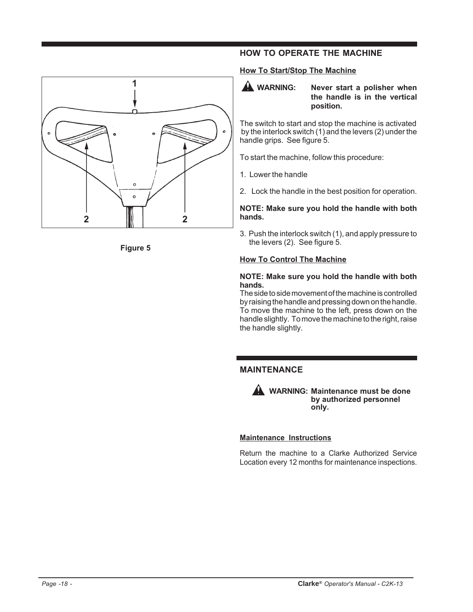



#### **HOW TO OPERATE THE MACHINE**

#### **How To Start/Stop The Machine**



The switch to start and stop the machine is activated by the interlock switch (1) and the levers (2) under the handle grips. See figure 5.

To start the machine, follow this procedure:

- 1. Lower the handle
- 2. Lock the handle in the best position for operation.

#### **NOTE: Make sure you hold the handle with both hands.**

3. Push the interlock switch (1), and apply pressure to the levers (2). See figure 5.

#### **How To Control The Machine**

#### **NOTE: Make sure you hold the handle with both hands.**

The side to side movement of the machine is controlled by raising the handle and pressing down on the handle. To move the machine to the left, press down on the handle slightly. To move the machine to the right, raise the handle slightly.

#### **MAINTENANCE**



**WARNING: Maintenance must be done by authorized personnel only.**

#### **Maintenance Instructions**

Return the machine to a Clarke Authorized Service Location every 12 months for maintenance inspections.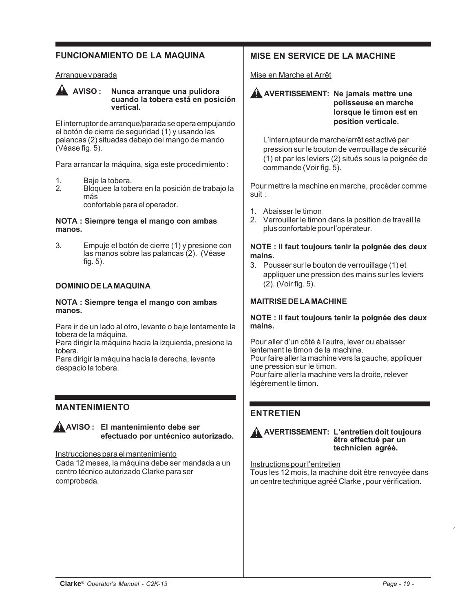#### **FUNCIONAMIENTO DE LA MAQUINA**

#### Arranque y parada



**AVISO : Nunca arranque una pulidora cuando la tobera está en posición vertical.**

El interruptor de arranque/parada se opera empujando el botón de cierre de seguridad (1) y usando las palancas (2) situadas debajo del mango de mando (Véase fig. 5).

Para arrancar la máquina, siga este procedimiento :

- 1. Baje la tobera.<br>2. Bloquee la tobe
- Bloquee la tobera en la posición de trabajo la más

confortable para el operador.

#### **NOTA : Siempre tenga el mango con ambas manos.**

3. Empuje el botón de cierre (1) y presione con las manos sobre las palancas (2). (Véase fig. 5).

#### **DOMINIO DE LA MAQUINA**

#### **NOTA : Siempre tenga el mango con ambas manos.**

Para ir de un lado al otro, levante o baje lentamente la tobera de la máquina.

Para dirigir la máquina hacia la izquierda, presione la tobera.

Para dirigir la máquina hacia la derecha, levante despacio la tobera.

#### **MANTENIMIENTO**

#### **AVISO : El mantenimiento debe ser efectuado por untécnico autorizado.**

#### Instrucciones para el mantenimiento

Cada 12 meses, la máquina debe ser mandada a un centro técnico autorizado Clarke para ser comprobada.

#### **MISE EN SERVICE DE LA MACHINE**

#### Mise en Marche et Arrêt

**A** AVERTISSEMENT: Ne jamais mettre une **polisseuse en marche lorsque le timon est en position verticale.**

L'interrupteur de marche/arrêt est activé par pression sur le bouton de verrouillage de sécurité (1) et par les leviers (2) situés sous la poignée de commande (Voir fig. 5).

Pour mettre la machine en marche, procéder comme suit :

- 1. Abaisser le timon
- 2. Verrouiller le timon dans la position de travail la plus confortable pour l'opérateur.

#### **NOTE : Il faut toujours tenir la poignée des deux mains.**

3. Pousser sur le bouton de verrouillage (1) et appliquer une pression des mains sur les leviers (2). (Voir fig. 5).

#### **MAITRISE DE LA MACHINE**

#### **NOTE : Il faut toujours tenir la poignée des deux mains.**

Pour aller d'un côté à l'autre, lever ou abaisser lentement le timon de la machine. Pour faire aller la machine vers la gauche, appliquer une pression sur le timon. Pour faire aller la machine vers la droite, relever légèrement le timon.

#### **ENTRETIEN**



#### **AVERTISSEMENT: L'entretien doit toujours être effectué par un technicien agréé.**

Instructions pour l'entretien Tous les 12 mois, la machine doit être renvoyée dans un centre technique agréé Clarke , pour vérification.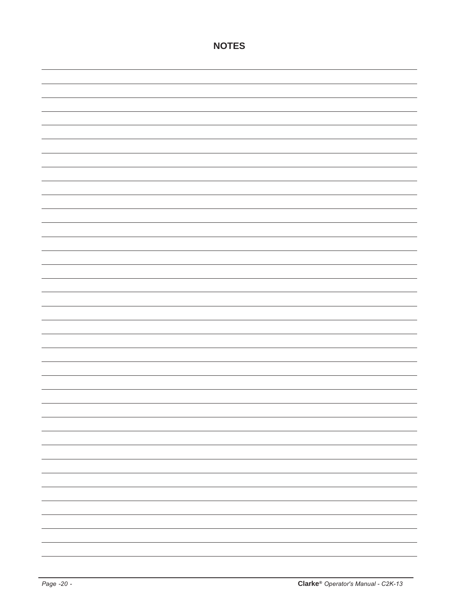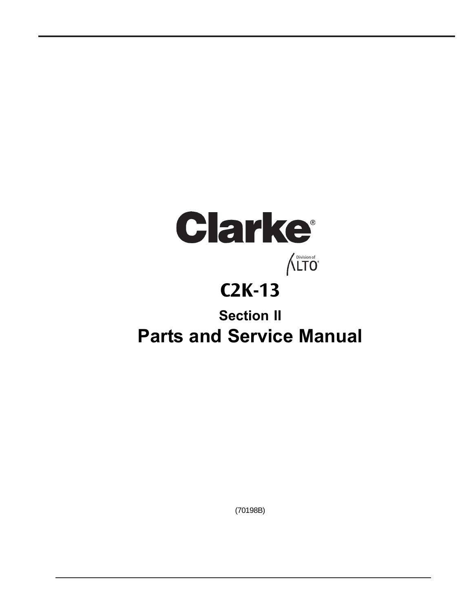# Clarke  $\bigwedge^{\text{Division of}}$ **C2K-13 Section II Parts and Service Manual**

(70198B)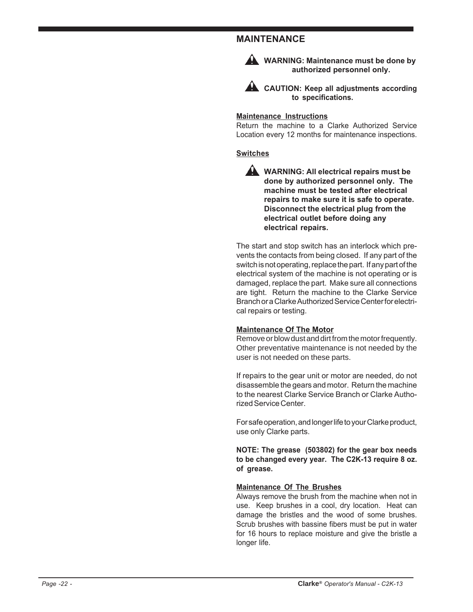#### **MAINTENANCE**



**WARNING: Maintenance must be done by authorized personnel only.**

**AL CAUTION: Keep all adjustments according to specifications.**

#### **Maintenance Instructions**

Return the machine to a Clarke Authorized Service Location every 12 months for maintenance inspections.

#### **Switches**

**WARNING: All electrical repairs must be done by authorized personnel only. The machine must be tested after electrical repairs to make sure it is safe to operate. Disconnect the electrical plug from the electrical outlet before doing any electrical repairs.**

The start and stop switch has an interlock which prevents the contacts from being closed. If any part of the switch is not operating, replace the part. If any part of the electrical system of the machine is not operating or is damaged, replace the part. Make sure all connections are tight. Return the machine to the Clarke Service Branch or a Clarke Authorized Service Center for electrical repairs or testing.

#### **Maintenance Of The Motor**

Remove or blow dust and dirt from the motor frequently. Other preventative maintenance is not needed by the user is not needed on these parts.

If repairs to the gear unit or motor are needed, do not disassemble the gears and motor. Return the machine to the nearest Clarke Service Branch or Clarke Authorized Service Center.

For safe operation, and longer life to your Clarke product, use only Clarke parts.

**NOTE: The grease (503802) for the gear box needs to be changed every year. The C2K-13 require 8 oz. of grease.**

#### **Maintenance Of The Brushes**

Always remove the brush from the machine when not in use. Keep brushes in a cool, dry location. Heat can damage the bristles and the wood of some brushes. Scrub brushes with bassine fibers must be put in water for 16 hours to replace moisture and give the bristle a longer life.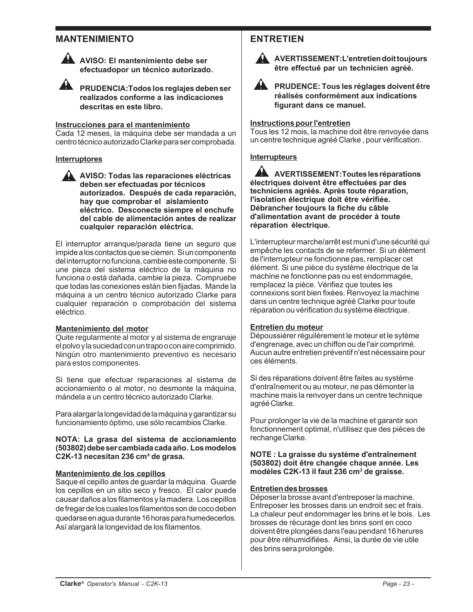#### **MANTENIMIENTO**



**AVISO: El mantenimiento debe ser efectuadopor un técnico autorizado.**

**PRUDENCIA:Todos los reglajes deben ser realizados conforme a las indicaciones descritas en este libro.**

#### **Instrucciones para el mantenimiento**

Cada 12 meses, la máquina debe ser mandada a un centro técnico autorizado Clarke para ser comprobada.

#### **Interruptores**

**AVISO: Todas las reparaciones eléctricas deben ser efectuadas por técnicos autorizados. Después de cada reparación, hay que comprobar el aislamiento eléctrico. Desconecte siempre el enchufe del cable de alimentación antes de realizar cualquier reparación eléctrica.**

El interruptor arranque/parada tiene un seguro que impide a los contactos que se cierren. Si un componente del interruptor no funciona, cambie este componente. Si une pieza del sistema eléctrico de la máquina no funciona o está dañada, cambie la pieza. Compruebe que todas las conexiones están bien fijadas. Mande la máquina a un centro técnico autorizado Clarke para cualquier reparación o comprobación del sistema eléctrico.

#### **Mantenimiento del motor**

Quite regularmente al motor y al sistema de engranaje el polvo y la suciedad con un trapo o con aire comprimido. Ningún otro mantenimiento preventivo es necesario para estos componentes.

Si tiene que efectuar reparaciones al sistema de accionamiento o al motor, no desmonte la máquina, mándela a un centro técnico autorizado Clarke.

Para alargar la longevidad de la máquina y garantizar su funcionamiento óptimo, use sólo recambios Clarke.

#### **NOTA: La grasa del sistema de accionamiento (503802) debe ser cambiada cada año. Los modelos C2K-13 necesitan 236 cm³ de grasa.**

#### **Mantenimiento de los cepillos**

Saque el cepillo antes de guardar la máquina. Guarde los cepillos en un sitio seco y fresco. El calor puede causar daños a los filamentos y la madera. Los cepillos de fregar de los cuales los filamentos son de coco deben quedarse en agua durante 16 horas para humedecerlos. Así alargará la longevidad de los filamentos.

### **ENTRETIEN**



**AVERTISSEMENT:L'entretien doit toujours être effectué par un technicien agréé.**



**A** PRUDENCE: Tous les réglages doivent être **réalisés conformément aux indications figurant dans ce manuel.**

#### **Instructions pour l'entretien**

Tous les 12 mois, la machine doit être renvoyée dans un centre technique agréé Clarke , pour vérification.

#### **Interrupteurs**

**AVERTISSEMENT:Toutes les réparations électriques doivent être effectuées par des techniciens agréés. Après toute réparation, l'isolation électrique doit être vérifiée. Débrancher toujours la fiche du câble d'alimentation avant de procéder à toute réparation électrique.**

L'interrupteur marche/arrêt est muni d'une sécurité qui empêche les contacts de se refermer. Si un élément de l'interrupteur ne fonctionne pas, remplacer cet élément. Si une pièce du système électrique de la machine ne fonctionne pas ou est endommagée, remplacez la pièce. Vérifiez que toutes les connexions sont bien fixées. Renvoyez la machine dans un centre technique agréé Clarke pour toute réparation ou vérification du système électrique.

#### **Entretien du moteur**

Dépoussiérer réguilèrement le moteur et le sytème d'engrenage, avec un chiffon ou de l'air comprimé. Aucun autre entretien préventif n'est nécessaire pour ces éléments.

Si des réparations doivent être faites au système d'entraînement ou au moteur, ne pas démonter la machine mais la renvoyer dans un centre technique agréé Clarke.

Pour prolonger la vie de la machine et garantir son fonctionnement optimal, n'utilisez que des pièces de rechange Clarke.

**NOTE : La graisse du système d'entraînement (503802) doit être changée chaque année. Les modèles C2K-13 il faut 236 cm3 de graisse.**

#### **Entretien des brosses**

Déposer la brosse avant d'entreposer la machine. Entreposer les brosses dans un endroit sec et frais. La chaleur peut endommager les brins et le bois. Les brosses de récurage dont les brins sont en coco doivent être plongées dans l'eau pendant 16 herures pour être réhumidifiées. Ainsi, la durée de vie utile des brins sera prolongée.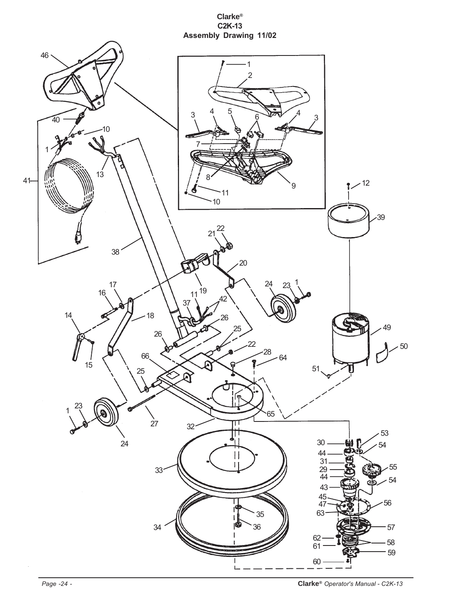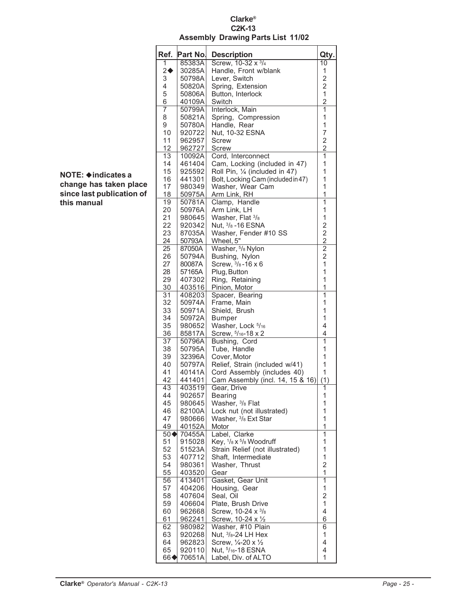#### **Clarke® C2K-13 Assembly Drawing Parts List 11/02**

| Ref.              | Part No.         | <b>Description</b>                                     | Qty.                    |
|-------------------|------------------|--------------------------------------------------------|-------------------------|
| 1                 | 85383A           | Screw, 10-32 x 3/4                                     | $\overline{10}$         |
| $2\blacklozenge$  | 30285A           | Handle, Front w/blank                                  | 1                       |
| 3                 | 50798A           | Lever, Switch                                          | $\frac{2}{2}$           |
| 4                 | 50820A           | Spring, Extension<br>Button, Interlock                 | $\mathbf 1$             |
| 5<br>6            | 50806A<br>40109A | Switch                                                 | $\overline{c}$          |
| $\overline{7}$    | 50799A           | Interlock, Main                                        | $\overline{1}$          |
| 8                 | 50821A           | Spring, Compression                                    | 1                       |
| 9                 | 50780A           | Handle, Rear                                           | $\mathbf 1$             |
| 10                | 920722           | Nut, 10-32 ESNA                                        | 7                       |
| 11                | 962957           | Screw                                                  | $\overline{c}$          |
| 12                | 962727           | Screw                                                  | $\overline{2}$          |
| $\overline{13}$   | 10092A           | Cord, Interconnect                                     | $\overline{1}$          |
| 14                | 461404           | Cam, Locking (included in 47)                          | 1                       |
| 15                | 925592           | Roll Pin, 1/4 (included in 47)                         | 1                       |
| 16                | 441301           | Bolt, Locking Cam (included in 47)                     | $\mathbf{1}$            |
| 17                | 980349           | Washer, Wear Cam                                       | 1                       |
| 18                | 50975A           | Arm Link, RH                                           | 1                       |
| 19                | 50781A           | Clamp, Handle                                          | $\mathbf{1}$            |
| 20                | 50976A           | Arm Link, LH                                           | 1<br>1                  |
| 21<br>22          | 980645<br>920342 | Washer, Flat 3/8<br>Nut, $\frac{3}{8}$ -16 ESNA        |                         |
| 23                | 87035A           | Washer, Fender #10 SS                                  |                         |
| 24                | 50793A           | Wheel, 5"                                              |                         |
| 25                | 87050A           | Washer, 5/8 Nylon                                      | $222$<br>$222$          |
| 26                | 50794A           | Bushing, Nylon                                         |                         |
| 27                | 80087A           | Screw, $\frac{3}{8}$ -16 x 6                           | $\overline{1}$          |
| 28                | 57165A           | Plug, Button                                           | $\mathbf{1}$            |
| 29                | 407302           | Ring, Retaining                                        | 1                       |
| 30                | 403516           | Pinion, Motor                                          | $\overline{1}$          |
| $\overline{31}$   | 408203           | Spacer, Bearing                                        | $\overline{1}$          |
| 32                | 50974A           | Frame, Main                                            | 1                       |
| 33                | 50971A           | Shield, Brush                                          | 1                       |
| 34                | 50972A           | <b>Bumper</b>                                          | 1                       |
| 35                | 980652           | Washer, Lock 5/16                                      | 4                       |
| 36                | 85817A           | Screw, $5/16 - 18 \times 2$                            | 4<br>$\overline{1}$     |
| 37<br>38          | 50796A<br>50795A | Bushing, Cord<br>Tube, Handle                          | 1                       |
| 39                | 32396A           | Cover, Motor                                           | 1                       |
| 40                | 50797A           | Relief, Strain (included w/41)                         | 1                       |
| 41                | 40141A           | Cord Assembly (includes 40)                            | 1                       |
| 42                | 441401           | Cam Assembly (incl. 14, 15 & 16)                       | (1)                     |
| 43                | 403519           | Gear, Drive                                            | 1                       |
| 44                | 902657           | Bearing                                                | 1                       |
| 45                | 980645           | Washer, <sup>3</sup> /8 Flat                           | 1                       |
| 46                | 82100A           | Lock nut (not illustrated)                             | 1                       |
| 47                | 980666           | Washer, <sup>3/8</sup> Ext Star                        | 1                       |
| 49                | 40152A           | Motor                                                  | 1                       |
| $50\blacklozenge$ | 70455A<br>915028 | Label, Clarke                                          | $\overline{1}$<br>1     |
| 51<br>52          |                  | Key, 1/8 x 5/8 Woodruff                                | 1                       |
| 53                | 51523A<br>407712 | Strain Relief (not illustrated)<br>Shaft. Intermediate | 1                       |
| 54                | 980361           | Washer, Thrust                                         | $\overline{c}$          |
| 55                | 403520           | Gear                                                   | 1                       |
| 56                | 413401           | Gasket, Gear Unit                                      | $\overline{1}$          |
| 57                | 404206           | Housing, Gear                                          | 1                       |
| 58                | 407604           | Seal, Oil                                              | $\overline{\mathbf{c}}$ |
| 59                | 406604           | Plate, Brush Drive                                     | 1                       |
| 60                | 962668           | Screw, 10-24 x 3/8                                     | 4                       |
| 61                | 962241           | Screw, 10-24 x 1/2                                     | 6                       |
| 62                | 980982           | Washer, #10 Plain                                      | 6                       |
| 63                | 920268           | Nut, $3/8 - 24$ LH Hex                                 | 1                       |
| 64                | 962823           | Screw, 1/4-20 x 1/2                                    | 4                       |
| 65<br>66∢         | 920110<br>70651A | Nut, 5/16-18 ESNA<br>Label, Div. of ALTO               | 4<br>1                  |
|                   |                  |                                                        |                         |

#### **NOTE: indicates a change has taken place since last publication of this manual**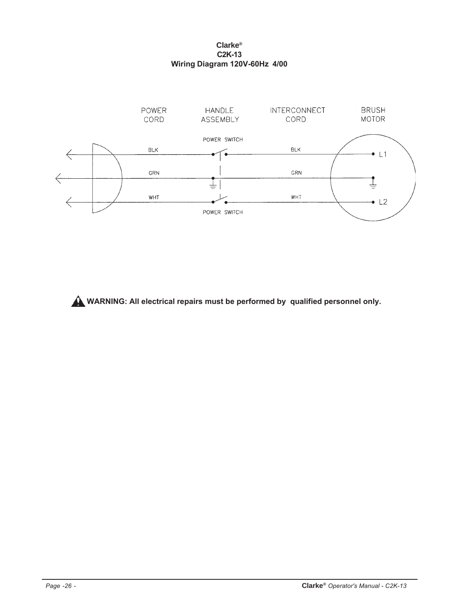#### **Clarke® C2K-13 Wiring Diagram 120V-60Hz 4/00**



**WARNING: All electrical repairs must be performed by qualified personnel only.**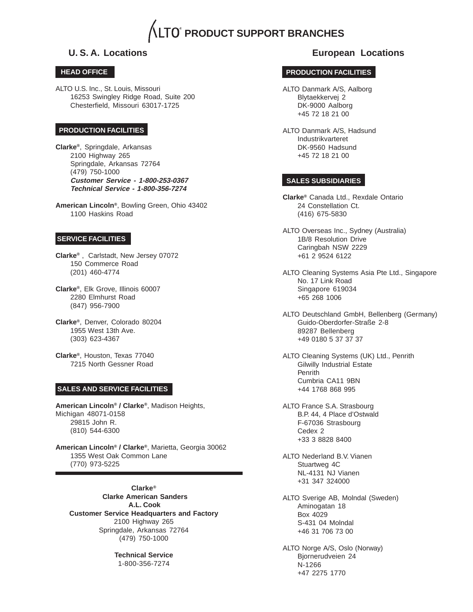# **PRODUCT SUPPORT BRANCHES**

#### **HEAD OFFICE**

ALTO U.S. Inc., St. Louis, Missouri 16253 Swingley Ridge Road, Suite 200 Chesterfield, Missouri 63017-1725

#### **PRODUCTION FACILITIES**

**Clarke®**, Springdale, Arkansas 2100 Highway 265 Springdale, Arkansas 72764 (479) 750-1000 **Customer Service - 1-800-253-0367 Technical Service - 1-800-356-7274**

**American Lincoln®**, Bowling Green, Ohio 43402 1100 Haskins Road

#### **SERVICE FACILITIES**

**Clarke®** , Carlstadt, New Jersey 07072 150 Commerce Road (201) 460-4774

**Clarke®**, Elk Grove, Illinois 60007 2280 Elmhurst Road (847) 956-7900

**Clarke®**, Denver, Colorado 80204 1955 West 13th Ave. (303) 623-4367

**Clarke®**, Houston, Texas 77040 7215 North Gessner Road

#### **SALES AND SERVICE FACILITIES**

**American Lincoln® / Clarke®**, Madison Heights, Michigan 48071-0158 29815 John R. (810) 544-6300

**American Lincoln® / Clarke®**, Marietta, Georgia 30062 1355 West Oak Common Lane (770) 973-5225

**Clarke® Clarke American Sanders A.L. Cook Customer Service Headquarters and Factory** 2100 Highway 265 Springdale, Arkansas 72764 (479) 750-1000

> **Technical Service** 1-800-356-7274

#### **U. S. A. Locations European Locations**

#### **PRODUCTION FACILITIES**

- ALTO Danmark A/S, Aalborg Blytaekkervej 2 DK-9000 Aalborg +45 72 18 21 00
- ALTO Danmark A/S, Hadsund Industrikvarteret DK-9560 Hadsund +45 72 18 21 00

#### **SALES SUBSIDIARIES**

**Clarke®** Canada Ltd., Rexdale Ontario 24 Constellation Ct. (416) 675-5830

- ALTO Overseas Inc., Sydney (Australia) 1B/8 Resolution Drive Caringbah NSW 2229 +61 2 9524 6122
- ALTO Cleaning Systems Asia Pte Ltd., Singapore No. 17 Link Road Singapore 619034 +65 268 1006
- ALTO Deutschland GmbH, Bellenberg (Germany) Guido-Oberdorfer-Straße 2-8 89287 Bellenberg +49 0180 5 37 37 37

ALTO Cleaning Systems (UK) Ltd., Penrith Gilwilly Industrial Estate Penrith Cumbria CA11 9BN +44 1768 868 995

ALTO France S.A. Strasbourg B.P. 44, 4 Place d'Ostwald F-67036 Strasbourg Cedex 2 +33 3 8828 8400

ALTO Nederland B.V. Vianen Stuartweg 4C NL-4131 NJ Vianen +31 347 324000

ALTO Sverige AB, Molndal (Sweden) Aminogatan 18 Box 4029 S-431 04 Molndal +46 31 706 73 00

ALTO Norge A/S, Oslo (Norway) Bjornerudveien 24 N-1266 +47 2275 1770